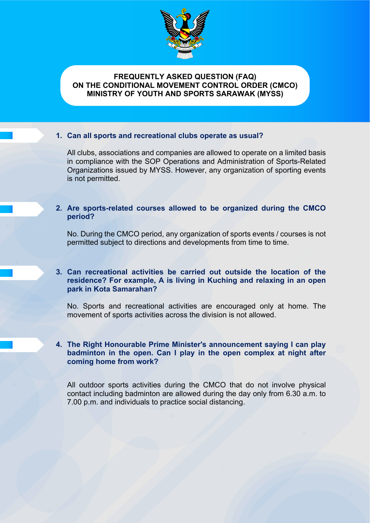

# **FREQUENTLY ASKED QUESTION (FAQ) ON THE CONDITIONAL MOVEMENT CONTROL ORDER (CMCO) MINISTRY OF YOUTH AND SPORTS SARAWAK (MYSS)**

# **1. Can all sports and recreational clubs operate as usual?**

All clubs, associations and companies are allowed to operate on a limited basis in compliance with the SOP Operations and Administration of Sports-Related Organizations issued by MYSS. However, any organization of sporting events is not permitted.

# **2. Are sports-related courses allowed to be organized during the CMCO period?**

No. During the CMCO period, any organization of sports events / courses is not permitted subject to directions and developments from time to time.

# **3. Can recreational activities be carried out outside the location of the residence? For example, A is living in Kuching and relaxing in an open park in Kota Samarahan?**

No. Sports and recreational activities are encouraged only at home. The movement of sports activities across the division is not allowed.

# **4. The Right Honourable Prime Minister's announcement saying I can play badminton in the open. Can I play in the open complex at night after coming home from work?**

All outdoor sports activities during the CMCO that do not involve physical contact including badminton are allowed during the day only from 6.30 a.m. to 7.00 p.m. and individuals to practice social distancing.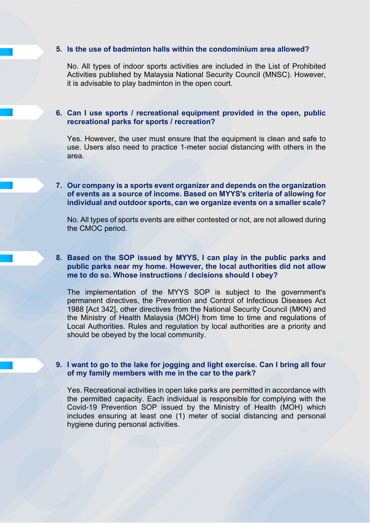#### **5. Is the use of badminton halls within the condominium area allowed?**

No. All types of indoor sports activities are included in the List of Prohibited Activities published by Malaysia National Security Council (MNSC). However, it is advisable to play badminton in the open court.

## **6. Can I use sports / recreational equipment provided in the open, public recreational parks for sports / recreation?**

Yes. However, the user must ensure that the equipment is clean and safe to use. Users also need to practice 1-meter social distancing with others in the area.

## **7. Our company is a sports event organizer and depends on the organization of events as a source of income. Based on MYYS's criteria of allowing for individual and outdoor sports, can we organize events on a smaller scale?**

No. All types of sports events are either contested or not, are not allowed during the CMOC period.

# **8. Based on the SOP issued by MYYS, I can play in the public parks and public parks near my home. However, the local authorities did not allow me to do so. Whose instructions / decisions should I obey?**

The implementation of the MYYS SOP is subject to the government's permanent directives, the Prevention and Control of Infectious Diseases Act 1988 [Act 342], other directives from the National Security Council (MKN) and the Ministry of Health Malaysia (MOH) from time to time and regulations of Local Authorities. Rules and regulation by local authorities are a priority and should be obeyed by the local community.

# **9. I want to go to the lake for jogging and light exercise. Can I bring all four of my family members with me in the car to the park?**

Yes. Recreational activities in open lake parks are permitted in accordance with the permitted capacity. Each individual is responsible for complying with the Covid-19 Prevention SOP issued by the Ministry of Health (MOH) which includes ensuring at least one (1) meter of social distancing and personal hygiene during personal activities.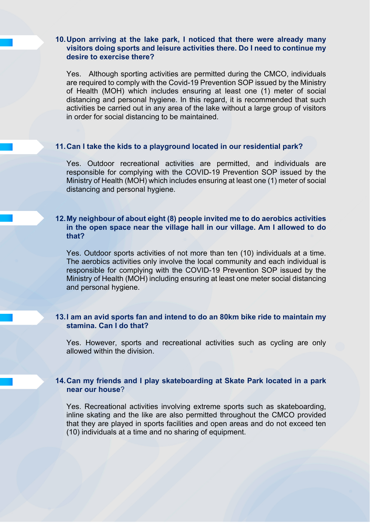## **10.Upon arriving at the lake park, I noticed that there were already many visitors doing sports and leisure activities there. Do I need to continue my desire to exercise there?**

Yes. Although sporting activities are permitted during the CMCO, individuals are required to comply with the Covid-19 Prevention SOP issued by the Ministry of Health (MOH) which includes ensuring at least one (1) meter of social distancing and personal hygiene. In this regard, it is recommended that such activities be carried out in any area of the lake without a large group of visitors in order for social distancing to be maintained.

## **11.Can I take the kids to a playground located in our residential park?**

Yes. Outdoor recreational activities are permitted, and individuals are responsible for complying with the COVID-19 Prevention SOP issued by the Ministry of Health (MOH) which includes ensuring at least one (1) meter of social distancing and personal hygiene.

# **12.My neighbour of about eight (8) people invited me to do aerobics activities in the open space near the village hall in our village. Am I allowed to do that?**

Yes. Outdoor sports activities of not more than ten (10) individuals at a time. The aerobics activities only involve the local community and each individual is responsible for complying with the COVID-19 Prevention SOP issued by the Ministry of Health (MOH) including ensuring at least one meter social distancing and personal hygiene.

# **13.I am an avid sports fan and intend to do an 80km bike ride to maintain my stamina. Can I do that?**

Yes. However, sports and recreational activities such as cycling are only allowed within the division.

# **14.Can my friends and I play skateboarding at Skate Park located in a park near our house**?

Yes. Recreational activities involving extreme sports such as skateboarding, inline skating and the like are also permitted throughout the CMCO provided that they are played in sports facilities and open areas and do not exceed ten (10) individuals at a time and no sharing of equipment.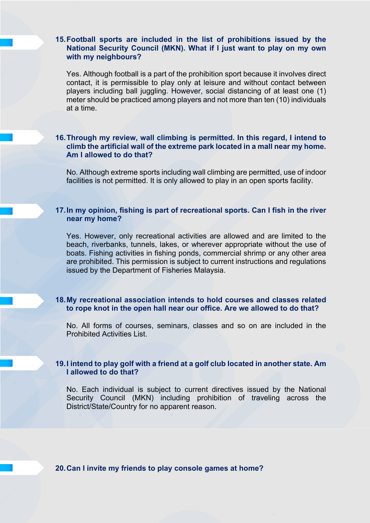## **15.Football sports are included in the list of prohibitions issued by the National Security Council (MKN). What if I just want to play on my own with my neighbours?**

Yes. Although football is a part of the prohibition sport because it involves direct contact, it is permissible to play only at leisure and without contact between players including ball juggling. However, social distancing of at least one (1) meter should be practiced among players and not more than ten (10) individuals at a time.

#### **16.Through my review, wall climbing is permitted. In this regard, I intend to climb the artificial wall of the extreme park located in a mall near my home. Am I allowed to do that?**

No. Although extreme sports including wall climbing are permitted, use of indoor facilities is not permitted. It is only allowed to play in an open sports facility.

## **17.In my opinion, fishing is part of recreational sports. Can I fish in the river near my home?**

Yes. However, only recreational activities are allowed and are limited to the beach, riverbanks, tunnels, lakes, or wherever appropriate without the use of boats. Fishing activities in fishing ponds, commercial shrimp or any other area are prohibited. This permission is subject to current instructions and regulations issued by the Department of Fisheries Malaysia.

## **18.My recreational association intends to hold courses and classes related to rope knot in the open hall near our office. Are we allowed to do that?**

No. All forms of courses, seminars, classes and so on are included in the Prohibited Activities List.

# **19.I intend to play golf with a friend at a golf club located in another state. Am I allowed to do that?**

No. Each individual is subject to current directives issued by the National Security Council (MKN) including prohibition of traveling across the District/State/Country for no apparent reason.

**20.Can I invite my friends to play console games at home?**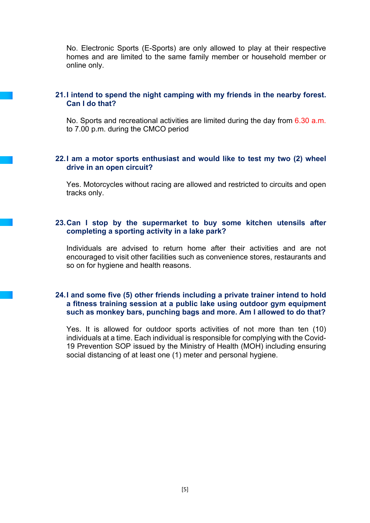No. Electronic Sports (E-Sports) are only allowed to play at their respective homes and are limited to the same family member or household member or online only.

# **21.I intend to spend the night camping with my friends in the nearby forest. Can I do that?**

No. Sports and recreational activities are limited during the day from 6.30 a.m. to 7.00 p.m. during the CMCO period

## **22.I am a motor sports enthusiast and would like to test my two (2) wheel drive in an open circuit?**

Yes. Motorcycles without racing are allowed and restricted to circuits and open tracks only.

#### **23.Can I stop by the supermarket to buy some kitchen utensils after completing a sporting activity in a lake park?**

Individuals are advised to return home after their activities and are not encouraged to visit other facilities such as convenience stores, restaurants and so on for hygiene and health reasons.

#### **24.I and some five (5) other friends including a private trainer intend to hold a fitness training session at a public lake using outdoor gym equipment such as monkey bars, punching bags and more. Am I allowed to do that?**

Yes. It is allowed for outdoor sports activities of not more than ten (10) individuals at a time. Each individual is responsible for complying with the Covid-19 Prevention SOP issued by the Ministry of Health (MOH) including ensuring social distancing of at least one (1) meter and personal hygiene.